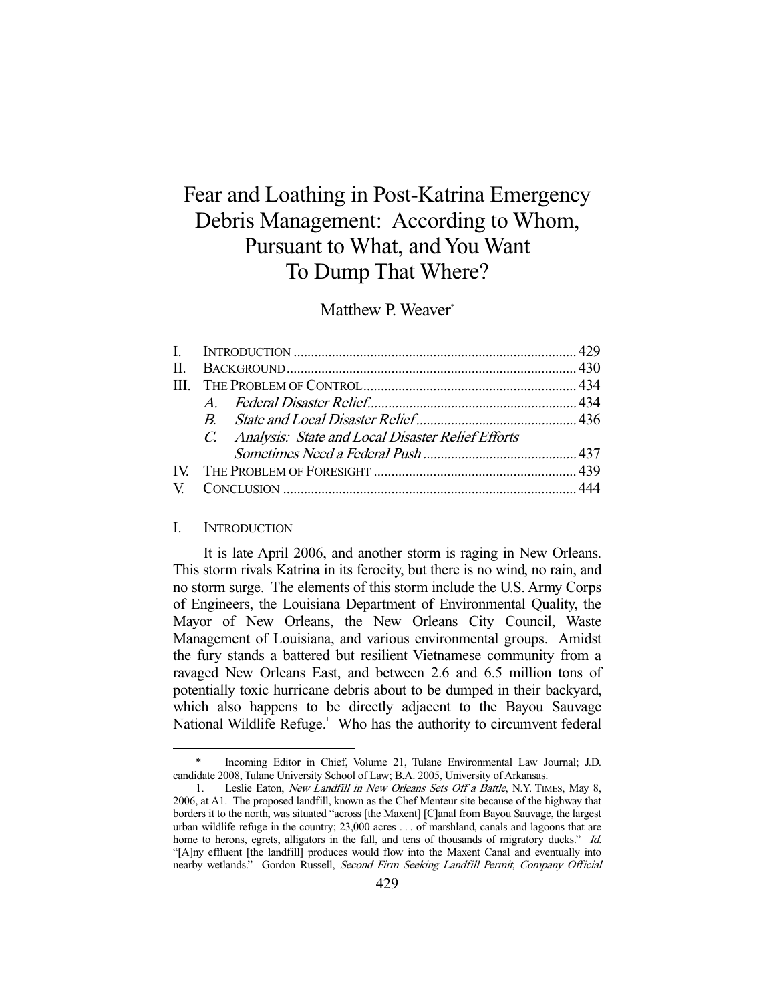# Fear and Loathing in Post-Katrina Emergency Debris Management: According to Whom, Pursuant to What, and You Want To Dump That Where?

# Matthew P. Weaver\*

|  | C. Analysis: State and Local Disaster Relief Efforts |  |  |
|--|------------------------------------------------------|--|--|
|  |                                                      |  |  |
|  |                                                      |  |  |
|  |                                                      |  |  |
|  |                                                      |  |  |

## I. INTRODUCTION

-

 It is late April 2006, and another storm is raging in New Orleans. This storm rivals Katrina in its ferocity, but there is no wind, no rain, and no storm surge. The elements of this storm include the U.S. Army Corps of Engineers, the Louisiana Department of Environmental Quality, the Mayor of New Orleans, the New Orleans City Council, Waste Management of Louisiana, and various environmental groups. Amidst the fury stands a battered but resilient Vietnamese community from a ravaged New Orleans East, and between 2.6 and 6.5 million tons of potentially toxic hurricane debris about to be dumped in their backyard, which also happens to be directly adjacent to the Bayou Sauvage National Wildlife Refuge.<sup>1</sup> Who has the authority to circumvent federal

 <sup>\*</sup> Incoming Editor in Chief, Volume 21, Tulane Environmental Law Journal; J.D. candidate 2008, Tulane University School of Law; B.A. 2005, University of Arkansas.

<sup>1.</sup> Leslie Eaton, New Landfill in New Orleans Sets Off a Battle, N.Y. TIMES, May 8, 2006, at A1. The proposed landfill, known as the Chef Menteur site because of the highway that borders it to the north, was situated "across [the Maxent] [C]anal from Bayou Sauvage, the largest urban wildlife refuge in the country; 23,000 acres . . . of marshland, canals and lagoons that are home to herons, egrets, alligators in the fall, and tens of thousands of migratory ducks." Id. "[A]ny effluent [the landfill] produces would flow into the Maxent Canal and eventually into nearby wetlands." Gordon Russell, Second Firm Seeking Landfill Permit, Company Official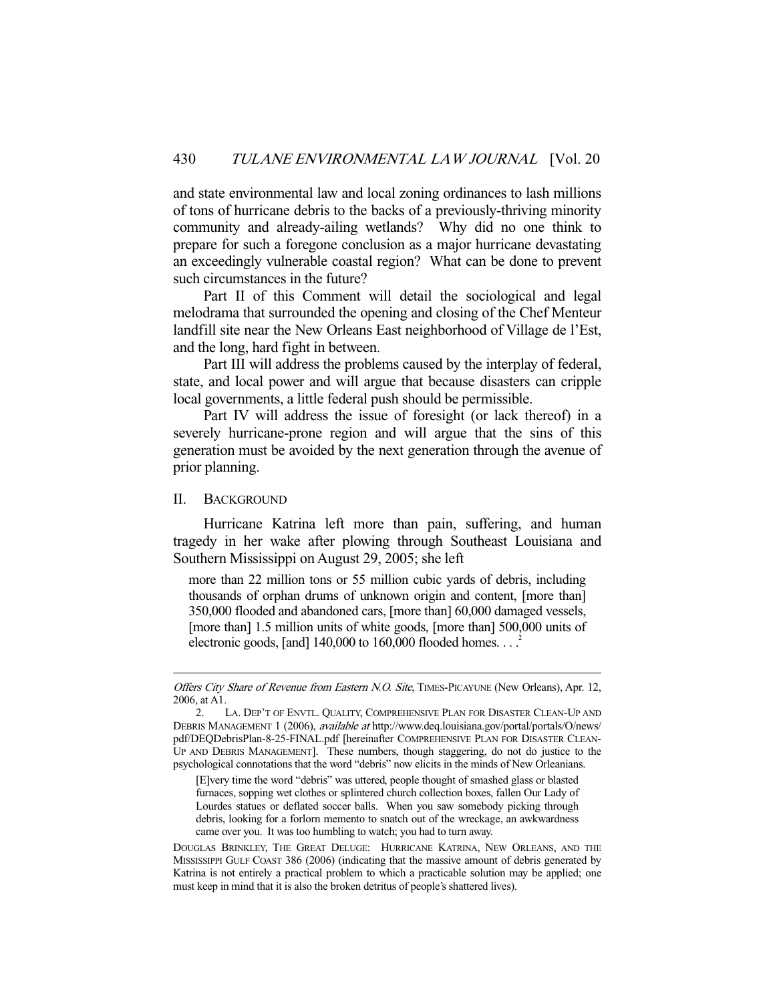and state environmental law and local zoning ordinances to lash millions of tons of hurricane debris to the backs of a previously-thriving minority community and already-ailing wetlands? Why did no one think to prepare for such a foregone conclusion as a major hurricane devastating an exceedingly vulnerable coastal region? What can be done to prevent such circumstances in the future?

 Part II of this Comment will detail the sociological and legal melodrama that surrounded the opening and closing of the Chef Menteur landfill site near the New Orleans East neighborhood of Village de l'Est, and the long, hard fight in between.

 Part III will address the problems caused by the interplay of federal, state, and local power and will argue that because disasters can cripple local governments, a little federal push should be permissible.

 Part IV will address the issue of foresight (or lack thereof) in a severely hurricane-prone region and will argue that the sins of this generation must be avoided by the next generation through the avenue of prior planning.

#### II. BACKGROUND

-

 Hurricane Katrina left more than pain, suffering, and human tragedy in her wake after plowing through Southeast Louisiana and Southern Mississippi on August 29, 2005; she left

more than 22 million tons or 55 million cubic yards of debris, including thousands of orphan drums of unknown origin and content, [more than] 350,000 flooded and abandoned cars, [more than] 60,000 damaged vessels, [more than] 1.5 million units of white goods, [more than] 500,000 units of electronic goods, [and] 140,000 to 160,000 flooded homes... $^2$ 

[E]very time the word "debris" was uttered, people thought of smashed glass or blasted furnaces, sopping wet clothes or splintered church collection boxes, fallen Our Lady of Lourdes statues or deflated soccer balls. When you saw somebody picking through debris, looking for a forlorn memento to snatch out of the wreckage, an awkwardness came over you. It was too humbling to watch; you had to turn away.

Offers City Share of Revenue from Eastern N.O. Site, TIMES-PICAYUNE (New Orleans), Apr. 12, 2006, at A1.

 <sup>2.</sup> LA. DEP'T OF ENVTL. QUALITY, COMPREHENSIVE PLAN FOR DISASTER CLEAN-UP AND DEBRIS MANAGEMENT 1 (2006), *available at* http://www.deq.louisiana.gov/portal/portals/O/news/ pdf/DEQDebrisPlan-8-25-FINAL.pdf [hereinafter COMPREHENSIVE PLAN FOR DISASTER CLEAN-UP AND DEBRIS MANAGEMENT]. These numbers, though staggering, do not do justice to the psychological connotations that the word "debris" now elicits in the minds of New Orleanians.

DOUGLAS BRINKLEY, THE GREAT DELUGE: HURRICANE KATRINA, NEW ORLEANS, AND THE MISSISSIPPI GULF COAST 386 (2006) (indicating that the massive amount of debris generated by Katrina is not entirely a practical problem to which a practicable solution may be applied; one must keep in mind that it is also the broken detritus of people's shattered lives).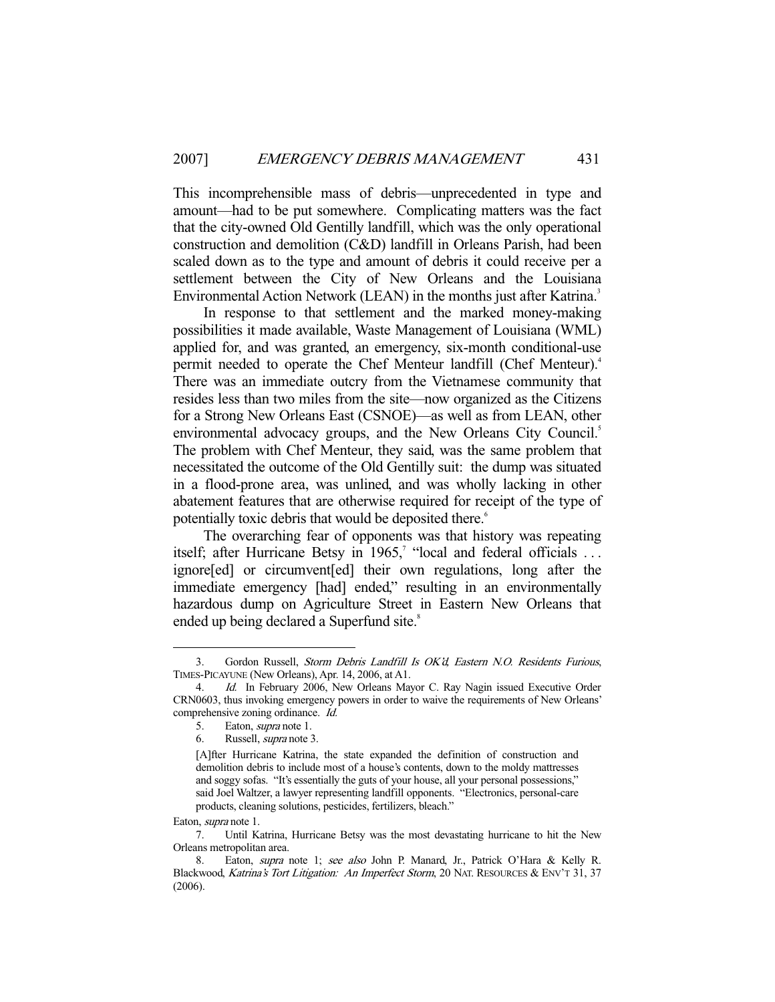This incomprehensible mass of debris—unprecedented in type and amount—had to be put somewhere. Complicating matters was the fact that the city-owned Old Gentilly landfill, which was the only operational construction and demolition (C&D) landfill in Orleans Parish, had been scaled down as to the type and amount of debris it could receive per a settlement between the City of New Orleans and the Louisiana Environmental Action Network (LEAN) in the months just after Katrina.<sup>3</sup>

 In response to that settlement and the marked money-making possibilities it made available, Waste Management of Louisiana (WML) applied for, and was granted, an emergency, six-month conditional-use permit needed to operate the Chef Menteur landfill (Chef Menteur).<sup>4</sup> There was an immediate outcry from the Vietnamese community that resides less than two miles from the site—now organized as the Citizens for a Strong New Orleans East (CSNOE)—as well as from LEAN, other environmental advocacy groups, and the New Orleans City Council.<sup>5</sup> The problem with Chef Menteur, they said, was the same problem that necessitated the outcome of the Old Gentilly suit: the dump was situated in a flood-prone area, was unlined, and was wholly lacking in other abatement features that are otherwise required for receipt of the type of potentially toxic debris that would be deposited there.<sup>6</sup>

 The overarching fear of opponents was that history was repeating itself; after Hurricane Betsy in  $1965$ , "local and federal officials ... ignore[ed] or circumvent[ed] their own regulations, long after the immediate emergency [had] ended," resulting in an environmentally hazardous dump on Agriculture Street in Eastern New Orleans that ended up being declared a Superfund site.<sup>8</sup>

 <sup>3.</sup> Gordon Russell, Storm Debris Landfill Is OK'd, Eastern N.O. Residents Furious, TIMES-PICAYUNE (New Orleans), Apr. 14, 2006, at A1.

<sup>4.</sup> *Id.* In February 2006, New Orleans Mayor C. Ray Nagin issued Executive Order CRN0603, thus invoking emergency powers in order to waive the requirements of New Orleans' comprehensive zoning ordinance. *Id.*<br>5. Eaton. *supra* note 1.

Eaton, *supra* note 1.

 <sup>6.</sup> Russell, supra note 3.

<sup>[</sup>A]fter Hurricane Katrina, the state expanded the definition of construction and demolition debris to include most of a house's contents, down to the moldy mattresses and soggy sofas. "It's essentially the guts of your house, all your personal possessions," said Joel Waltzer, a lawyer representing landfill opponents. "Electronics, personal-care products, cleaning solutions, pesticides, fertilizers, bleach."

Eaton, supra note 1.

 <sup>7.</sup> Until Katrina, Hurricane Betsy was the most devastating hurricane to hit the New Orleans metropolitan area.

 <sup>8.</sup> Eaton, supra note 1; see also John P. Manard, Jr., Patrick O'Hara & Kelly R. Blackwood, Katrina's Tort Litigation: An Imperfect Storm, 20 NAT. RESOURCES & ENV'T 31, 37 (2006).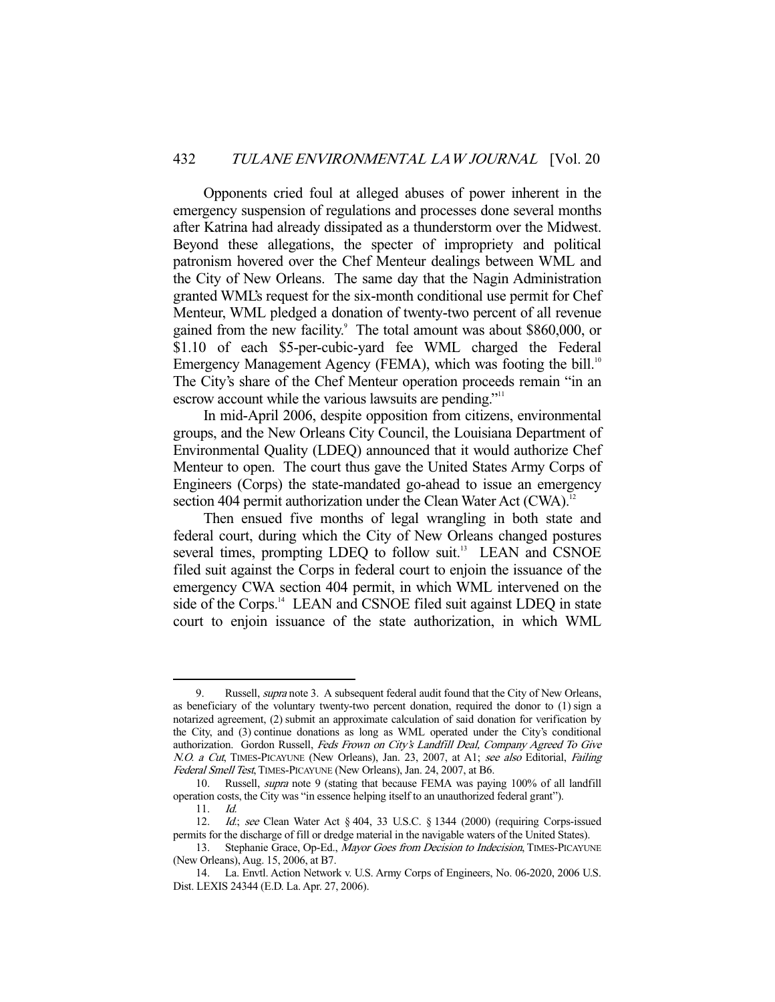Opponents cried foul at alleged abuses of power inherent in the emergency suspension of regulations and processes done several months after Katrina had already dissipated as a thunderstorm over the Midwest. Beyond these allegations, the specter of impropriety and political patronism hovered over the Chef Menteur dealings between WML and the City of New Orleans. The same day that the Nagin Administration granted WML's request for the six-month conditional use permit for Chef Menteur, WML pledged a donation of twenty-two percent of all revenue gained from the new facility.<sup>9</sup> The total amount was about \$860,000, or \$1.10 of each \$5-per-cubic-yard fee WML charged the Federal Emergency Management Agency (FEMA), which was footing the bill.<sup>10</sup> The City's share of the Chef Menteur operation proceeds remain "in an escrow account while the various lawsuits are pending."<sup>11</sup>

 In mid-April 2006, despite opposition from citizens, environmental groups, and the New Orleans City Council, the Louisiana Department of Environmental Quality (LDEQ) announced that it would authorize Chef Menteur to open. The court thus gave the United States Army Corps of Engineers (Corps) the state-mandated go-ahead to issue an emergency section 404 permit authorization under the Clean Water Act  $(CWA)$ <sup>12</sup>

 Then ensued five months of legal wrangling in both state and federal court, during which the City of New Orleans changed postures several times, prompting LDEQ to follow suit.<sup>13</sup> LEAN and CSNOE filed suit against the Corps in federal court to enjoin the issuance of the emergency CWA section 404 permit, in which WML intervened on the side of the Corps.<sup>14</sup> LEAN and CSNOE filed suit against LDEQ in state court to enjoin issuance of the state authorization, in which WML

<sup>9.</sup> Russell, *supra* note 3. A subsequent federal audit found that the City of New Orleans, as beneficiary of the voluntary twenty-two percent donation, required the donor to (1) sign a notarized agreement, (2) submit an approximate calculation of said donation for verification by the City, and (3) continue donations as long as WML operated under the City's conditional authorization. Gordon Russell, Feds Frown on City's Landfill Deal, Company Agreed To Give N.O. a Cut, TIMES-PICAYUNE (New Orleans), Jan. 23, 2007, at A1; see also Editorial, Failing Federal Smell Test, TIMES-PICAYUNE (New Orleans), Jan. 24, 2007, at B6.

 <sup>10.</sup> Russell, supra note 9 (stating that because FEMA was paying 100% of all landfill operation costs, the City was "in essence helping itself to an unauthorized federal grant").

 <sup>11.</sup> Id.

<sup>12.</sup> Id.; see Clean Water Act § 404, 33 U.S.C. § 1344 (2000) (requiring Corps-issued permits for the discharge of fill or dredge material in the navigable waters of the United States).

<sup>13.</sup> Stephanie Grace, Op-Ed., Mayor Goes from Decision to Indecision, TIMES-PICAYUNE (New Orleans), Aug. 15, 2006, at B7.

 <sup>14.</sup> La. Envtl. Action Network v. U.S. Army Corps of Engineers, No. 06-2020, 2006 U.S. Dist. LEXIS 24344 (E.D. La. Apr. 27, 2006).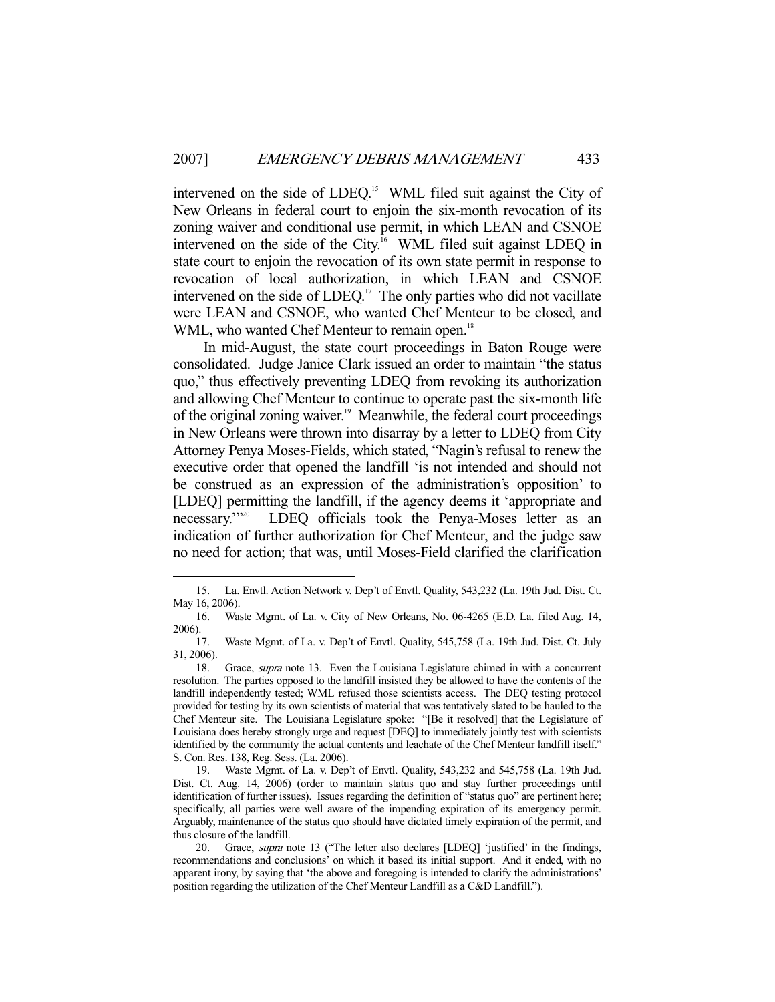intervened on the side of LDEQ.<sup>15</sup> WML filed suit against the City of New Orleans in federal court to enjoin the six-month revocation of its zoning waiver and conditional use permit, in which LEAN and CSNOE intervened on the side of the City.<sup>16</sup> WML filed suit against LDEQ in state court to enjoin the revocation of its own state permit in response to revocation of local authorization, in which LEAN and CSNOE intervened on the side of  $LDEO<sup>17</sup>$ . The only parties who did not vacillate were LEAN and CSNOE, who wanted Chef Menteur to be closed, and WML, who wanted Chef Menteur to remain open.<sup>18</sup>

 In mid-August, the state court proceedings in Baton Rouge were consolidated. Judge Janice Clark issued an order to maintain "the status quo," thus effectively preventing LDEQ from revoking its authorization and allowing Chef Menteur to continue to operate past the six-month life of the original zoning waiver.<sup>19</sup> Meanwhile, the federal court proceedings in New Orleans were thrown into disarray by a letter to LDEQ from City Attorney Penya Moses-Fields, which stated, "Nagin's refusal to renew the executive order that opened the landfill 'is not intended and should not be construed as an expression of the administration's opposition' to [LDEQ] permitting the landfill, if the agency deems it 'appropriate and necessary."<sup>20</sup> LDEQ officials took the Penya-Moses letter as an indication of further authorization for Chef Menteur, and the judge saw no need for action; that was, until Moses-Field clarified the clarification

 <sup>15.</sup> La. Envtl. Action Network v. Dep't of Envtl. Quality, 543,232 (La. 19th Jud. Dist. Ct. May 16, 2006).

 <sup>16.</sup> Waste Mgmt. of La. v. City of New Orleans, No. 06-4265 (E.D. La. filed Aug. 14, 2006).

 <sup>17.</sup> Waste Mgmt. of La. v. Dep't of Envtl. Quality, 545,758 (La. 19th Jud. Dist. Ct. July 31, 2006).

 <sup>18.</sup> Grace, supra note 13. Even the Louisiana Legislature chimed in with a concurrent resolution. The parties opposed to the landfill insisted they be allowed to have the contents of the landfill independently tested; WML refused those scientists access. The DEQ testing protocol provided for testing by its own scientists of material that was tentatively slated to be hauled to the Chef Menteur site. The Louisiana Legislature spoke: "[Be it resolved] that the Legislature of Louisiana does hereby strongly urge and request [DEQ] to immediately jointly test with scientists identified by the community the actual contents and leachate of the Chef Menteur landfill itself." S. Con. Res. 138, Reg. Sess. (La. 2006).

 <sup>19.</sup> Waste Mgmt. of La. v. Dep't of Envtl. Quality, 543,232 and 545,758 (La. 19th Jud. Dist. Ct. Aug. 14, 2006) (order to maintain status quo and stay further proceedings until identification of further issues). Issues regarding the definition of "status quo" are pertinent here; specifically, all parties were well aware of the impending expiration of its emergency permit. Arguably, maintenance of the status quo should have dictated timely expiration of the permit, and thus closure of the landfill.

<sup>20.</sup> Grace, *supra* note 13 ("The letter also declares [LDEQ] 'justified' in the findings, recommendations and conclusions' on which it based its initial support. And it ended, with no apparent irony, by saying that 'the above and foregoing is intended to clarify the administrations' position regarding the utilization of the Chef Menteur Landfill as a C&D Landfill.").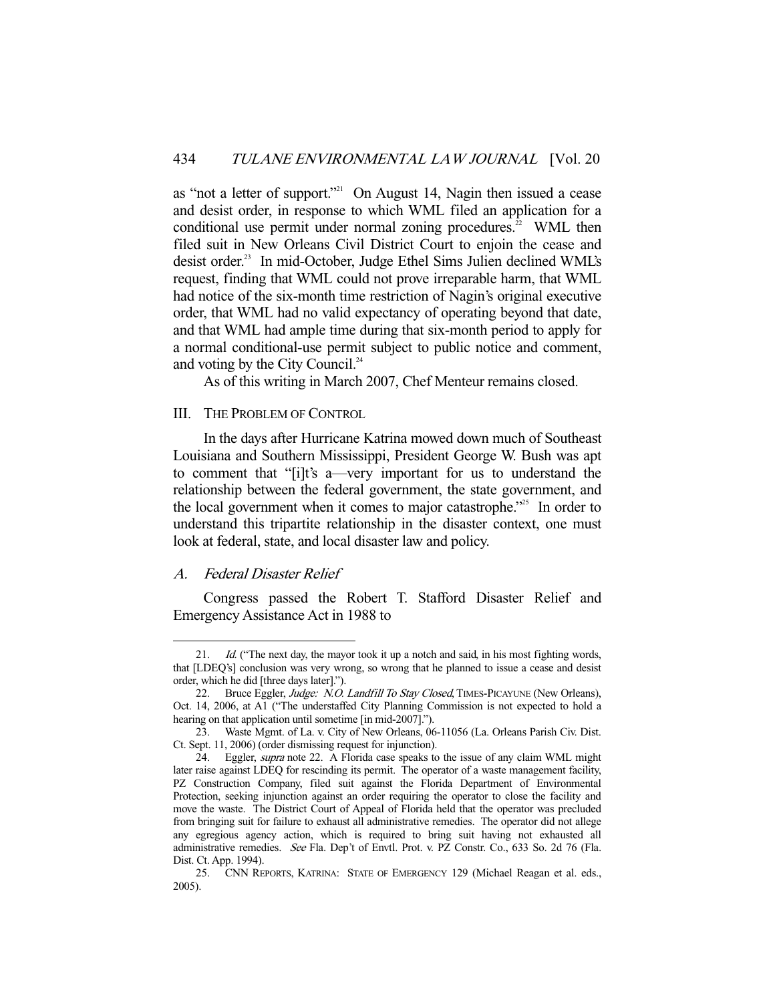as "not a letter of support."<sup>21</sup> On August 14, Nagin then issued a cease and desist order, in response to which WML filed an application for a conditional use permit under normal zoning procedures.<sup>22</sup> WML then filed suit in New Orleans Civil District Court to enjoin the cease and desist order.23 In mid-October, Judge Ethel Sims Julien declined WML's request, finding that WML could not prove irreparable harm, that WML had notice of the six-month time restriction of Nagin's original executive order, that WML had no valid expectancy of operating beyond that date, and that WML had ample time during that six-month period to apply for a normal conditional-use permit subject to public notice and comment, and voting by the City Council.<sup>24</sup>

As of this writing in March 2007, Chef Menteur remains closed.

#### III. THE PROBLEM OF CONTROL

 In the days after Hurricane Katrina mowed down much of Southeast Louisiana and Southern Mississippi, President George W. Bush was apt to comment that "[i]t's a—very important for us to understand the relationship between the federal government, the state government, and the local government when it comes to major catastrophe."<sup>25</sup> In order to understand this tripartite relationship in the disaster context, one must look at federal, state, and local disaster law and policy.

#### A. Federal Disaster Relief

-

 Congress passed the Robert T. Stafford Disaster Relief and Emergency Assistance Act in 1988 to

<sup>21.</sup> *Id.* ("The next day, the mayor took it up a notch and said, in his most fighting words, that [LDEQ's] conclusion was very wrong, so wrong that he planned to issue a cease and desist order, which he did [three days later].").

<sup>22.</sup> Bruce Eggler, Judge: N.O. Landfill To Stay Closed, TIMES-PICAYUNE (New Orleans), Oct. 14, 2006, at A1 ("The understaffed City Planning Commission is not expected to hold a hearing on that application until sometime [in mid-2007].").

 <sup>23.</sup> Waste Mgmt. of La. v. City of New Orleans, 06-11056 (La. Orleans Parish Civ. Dist. Ct. Sept. 11, 2006) (order dismissing request for injunction).

 <sup>24.</sup> Eggler, supra note 22. A Florida case speaks to the issue of any claim WML might later raise against LDEQ for rescinding its permit. The operator of a waste management facility, PZ Construction Company, filed suit against the Florida Department of Environmental Protection, seeking injunction against an order requiring the operator to close the facility and move the waste. The District Court of Appeal of Florida held that the operator was precluded from bringing suit for failure to exhaust all administrative remedies. The operator did not allege any egregious agency action, which is required to bring suit having not exhausted all administrative remedies. See Fla. Dep't of Envtl. Prot. v. PZ Constr. Co., 633 So. 2d 76 (Fla. Dist. Ct. App. 1994).

 <sup>25.</sup> CNN REPORTS, KATRINA: STATE OF EMERGENCY 129 (Michael Reagan et al. eds., 2005).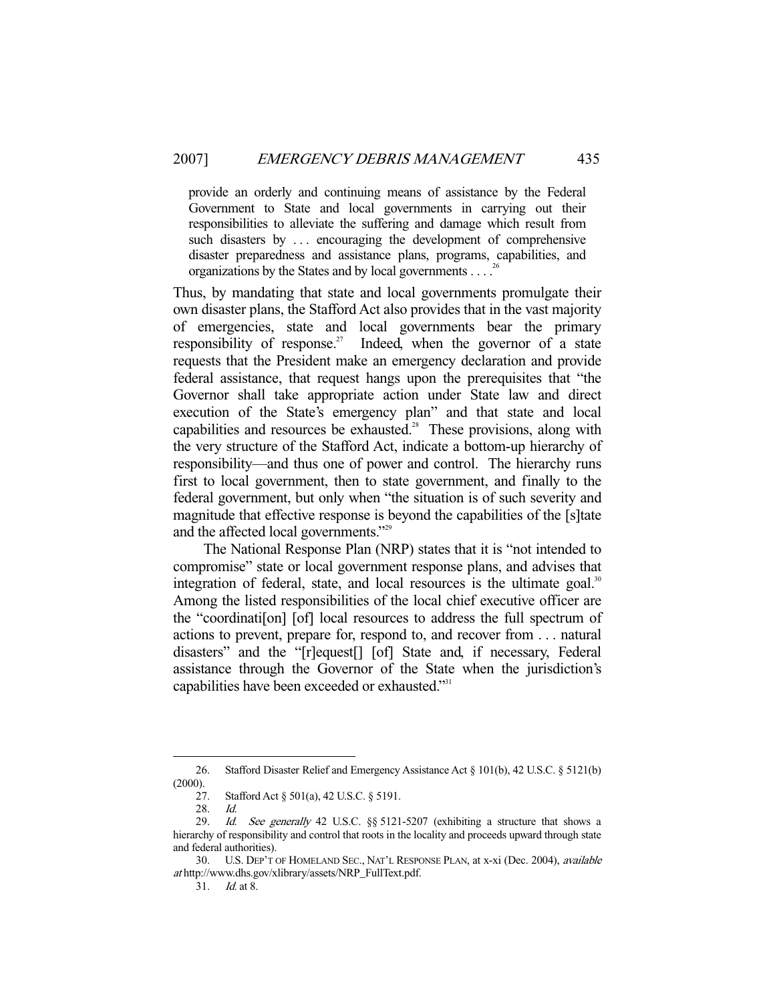provide an orderly and continuing means of assistance by the Federal Government to State and local governments in carrying out their responsibilities to alleviate the suffering and damage which result from such disasters by ... encouraging the development of comprehensive disaster preparedness and assistance plans, programs, capabilities, and organizations by the States and by local governments . . . .

Thus, by mandating that state and local governments promulgate their own disaster plans, the Stafford Act also provides that in the vast majority of emergencies, state and local governments bear the primary responsibility of response.<sup>27</sup> Indeed, when the governor of a state Indeed, when the governor of a state requests that the President make an emergency declaration and provide federal assistance, that request hangs upon the prerequisites that "the Governor shall take appropriate action under State law and direct execution of the State's emergency plan" and that state and local capabilities and resources be exhausted.<sup>28</sup> These provisions, along with the very structure of the Stafford Act, indicate a bottom-up hierarchy of responsibility—and thus one of power and control. The hierarchy runs first to local government, then to state government, and finally to the federal government, but only when "the situation is of such severity and magnitude that effective response is beyond the capabilities of the [s]tate and the affected local governments."<sup>29</sup>

 The National Response Plan (NRP) states that it is "not intended to compromise" state or local government response plans, and advises that integration of federal, state, and local resources is the ultimate goal.<sup>30</sup> Among the listed responsibilities of the local chief executive officer are the "coordinati[on] [of] local resources to address the full spectrum of actions to prevent, prepare for, respond to, and recover from . . . natural disasters" and the "[r]equest[] [of] State and, if necessary, Federal assistance through the Governor of the State when the jurisdiction's capabilities have been exceeded or exhausted."<sup>31</sup>

 <sup>26.</sup> Stafford Disaster Relief and Emergency Assistance Act § 101(b), 42 U.S.C. § 5121(b) (2000).

 <sup>27.</sup> Stafford Act § 501(a), 42 U.S.C. § 5191.

 <sup>28.</sup> Id.

<sup>29.</sup> Id. See generally 42 U.S.C. §§ 5121-5207 (exhibiting a structure that shows a hierarchy of responsibility and control that roots in the locality and proceeds upward through state and federal authorities).

<sup>30.</sup> U.S. DEP'T OF HOMELAND SEC., NAT'L RESPONSE PLAN, at x-xi (Dec. 2004), available at http://www.dhs.gov/xlibrary/assets/NRP\_FullText.pdf.

 <sup>31.</sup> Id. at 8.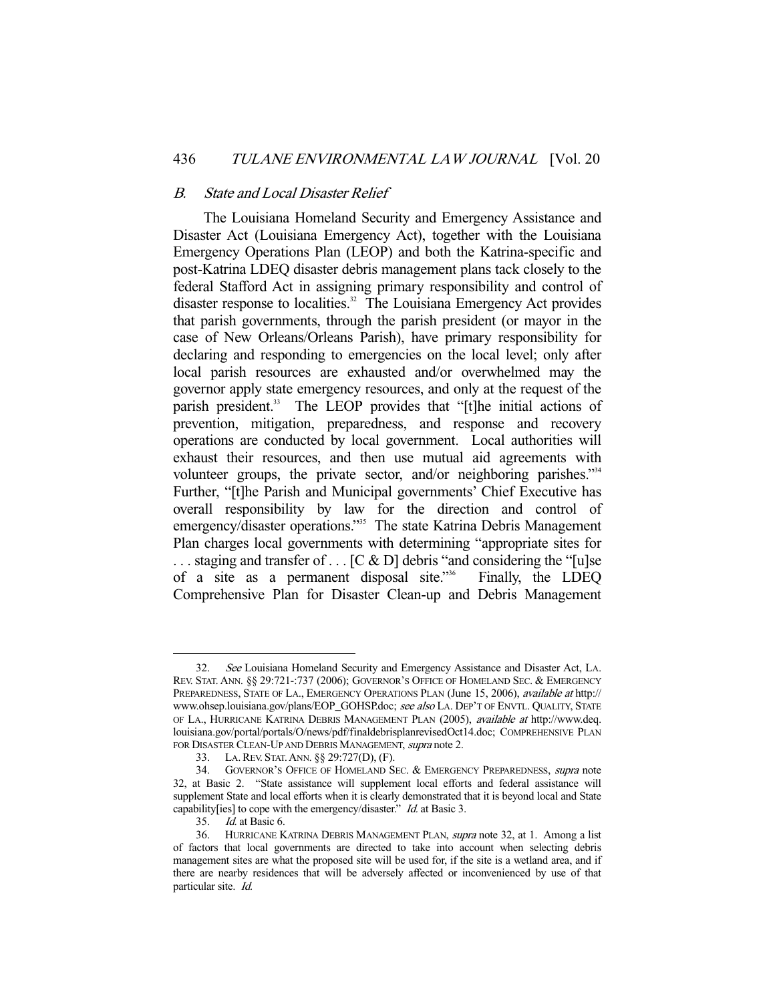#### B. State and Local Disaster Relief

 The Louisiana Homeland Security and Emergency Assistance and Disaster Act (Louisiana Emergency Act), together with the Louisiana Emergency Operations Plan (LEOP) and both the Katrina-specific and post-Katrina LDEQ disaster debris management plans tack closely to the federal Stafford Act in assigning primary responsibility and control of disaster response to localities.<sup>32</sup> The Louisiana Emergency Act provides that parish governments, through the parish president (or mayor in the case of New Orleans/Orleans Parish), have primary responsibility for declaring and responding to emergencies on the local level; only after local parish resources are exhausted and/or overwhelmed may the governor apply state emergency resources, and only at the request of the parish president.<sup>33</sup> The LEOP provides that "[t]he initial actions of prevention, mitigation, preparedness, and response and recovery operations are conducted by local government. Local authorities will exhaust their resources, and then use mutual aid agreements with volunteer groups, the private sector, and/or neighboring parishes."<sup>34</sup> Further, "[t]he Parish and Municipal governments' Chief Executive has overall responsibility by law for the direction and control of emergency/disaster operations."<sup>35</sup> The state Katrina Debris Management Plan charges local governments with determining "appropriate sites for ... staging and transfer of ...  $[C & D]$  debris "and considering the "[u]se of a site as a permanent disposal site."36 Finally, the LDEQ Comprehensive Plan for Disaster Clean-up and Debris Management

 <sup>32.</sup> See Louisiana Homeland Security and Emergency Assistance and Disaster Act, LA. REV. STAT. ANN. §§ 29:721-:737 (2006); GOVERNOR'S OFFICE OF HOMELAND SEC. & EMERGENCY PREPAREDNESS, STATE OF LA., EMERGENCY OPERATIONS PLAN (June 15, 2006), *available at http://* www.ohsep.louisiana.gov/plans/EOP\_GOHSP.doc; see also LA. DEP'T OF ENVTL. QUALITY, STATE OF LA., HURRICANE KATRINA DEBRIS MANAGEMENT PLAN (2005), available at http://www.deq. louisiana.gov/portal/portals/O/news/pdf/finaldebrisplanrevisedOct14.doc; COMPREHENSIVE PLAN FOR DISASTER CLEAN-UP AND DEBRIS MANAGEMENT, supra note 2.

 <sup>33.</sup> LA.REV. STAT.ANN. §§ 29:727(D), (F).

 <sup>34.</sup> GOVERNOR'S OFFICE OF HOMELAND SEC. & EMERGENCY PREPAREDNESS, supra note 32, at Basic 2. "State assistance will supplement local efforts and federal assistance will supplement State and local efforts when it is clearly demonstrated that it is beyond local and State capability [ies] to cope with the emergency/disaster." *Id.* at Basic 3.

 <sup>35.</sup> Id. at Basic 6.

<sup>36.</sup> HURRICANE KATRINA DEBRIS MANAGEMENT PLAN, *supra* note 32, at 1. Among a list of factors that local governments are directed to take into account when selecting debris management sites are what the proposed site will be used for, if the site is a wetland area, and if there are nearby residences that will be adversely affected or inconvenienced by use of that particular site. Id.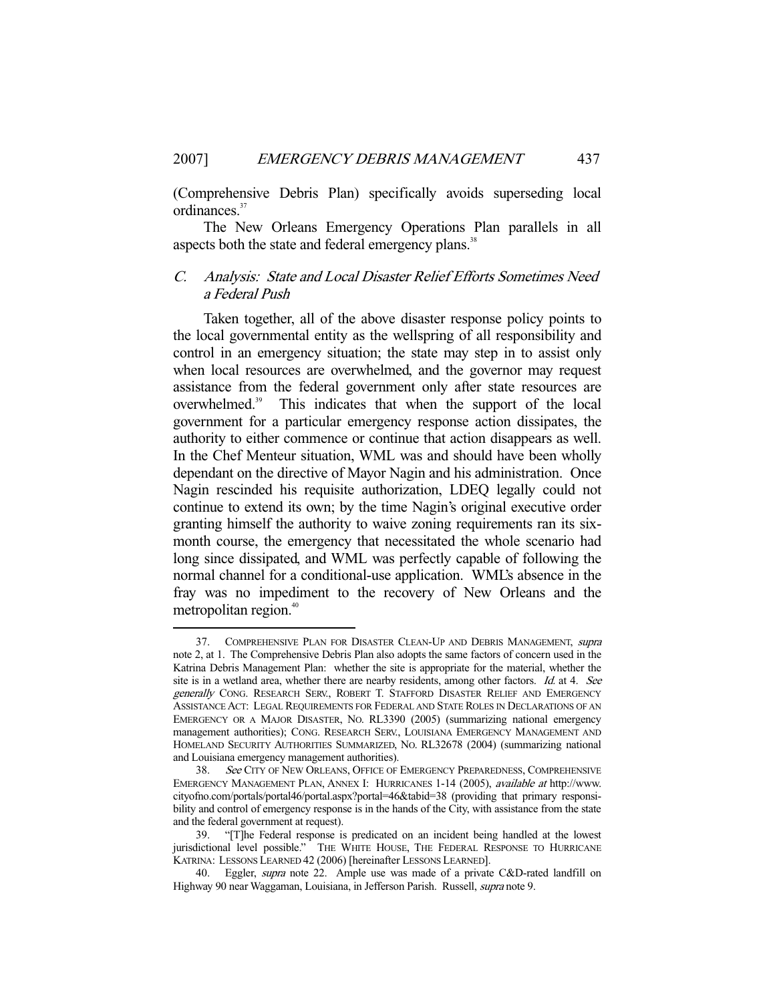(Comprehensive Debris Plan) specifically avoids superseding local ordinances.<sup>37</sup>

 The New Orleans Emergency Operations Plan parallels in all aspects both the state and federal emergency plans.<sup>38</sup>

# C. Analysis: State and Local Disaster Relief Efforts Sometimes Need a Federal Push

 Taken together, all of the above disaster response policy points to the local governmental entity as the wellspring of all responsibility and control in an emergency situation; the state may step in to assist only when local resources are overwhelmed, and the governor may request assistance from the federal government only after state resources are overwhelmed.39 This indicates that when the support of the local government for a particular emergency response action dissipates, the authority to either commence or continue that action disappears as well. In the Chef Menteur situation, WML was and should have been wholly dependant on the directive of Mayor Nagin and his administration. Once Nagin rescinded his requisite authorization, LDEQ legally could not continue to extend its own; by the time Nagin's original executive order granting himself the authority to waive zoning requirements ran its sixmonth course, the emergency that necessitated the whole scenario had long since dissipated, and WML was perfectly capable of following the normal channel for a conditional-use application. WML's absence in the fray was no impediment to the recovery of New Orleans and the metropolitan region.<sup>40</sup>

 <sup>37.</sup> COMPREHENSIVE PLAN FOR DISASTER CLEAN-UP AND DEBRIS MANAGEMENT, supra note 2, at 1. The Comprehensive Debris Plan also adopts the same factors of concern used in the Katrina Debris Management Plan: whether the site is appropriate for the material, whether the site is in a wetland area, whether there are nearby residents, among other factors. Id. at 4. See generally CONG. RESEARCH SERV., ROBERT T. STAFFORD DISASTER RELIEF AND EMERGENCY ASSISTANCE ACT: LEGAL REQUIREMENTS FOR FEDERAL AND STATE ROLES IN DECLARATIONS OF AN EMERGENCY OR A MAJOR DISASTER, NO. RL3390 (2005) (summarizing national emergency management authorities); CONG. RESEARCH SERV., LOUISIANA EMERGENCY MANAGEMENT AND HOMELAND SECURITY AUTHORITIES SUMMARIZED, NO. RL32678 (2004) (summarizing national and Louisiana emergency management authorities).

<sup>38.</sup> See CITY OF NEW ORLEANS, OFFICE OF EMERGENCY PREPAREDNESS, COMPREHENSIVE EMERGENCY MANAGEMENT PLAN, ANNEX I: HURRICANES 1-14 (2005), available at http://www. cityofno.com/portals/portal46/portal.aspx?portal=46&tabid=38 (providing that primary responsibility and control of emergency response is in the hands of the City, with assistance from the state and the federal government at request).

 <sup>39. &</sup>quot;[T]he Federal response is predicated on an incident being handled at the lowest jurisdictional level possible." THE WHITE HOUSE, THE FEDERAL RESPONSE TO HURRICANE KATRINA: LESSONS LEARNED 42 (2006) [hereinafter LESSONS LEARNED].

<sup>40.</sup> Eggler, *supra* note 22. Ample use was made of a private C&D-rated landfill on Highway 90 near Waggaman, Louisiana, in Jefferson Parish. Russell, supra note 9.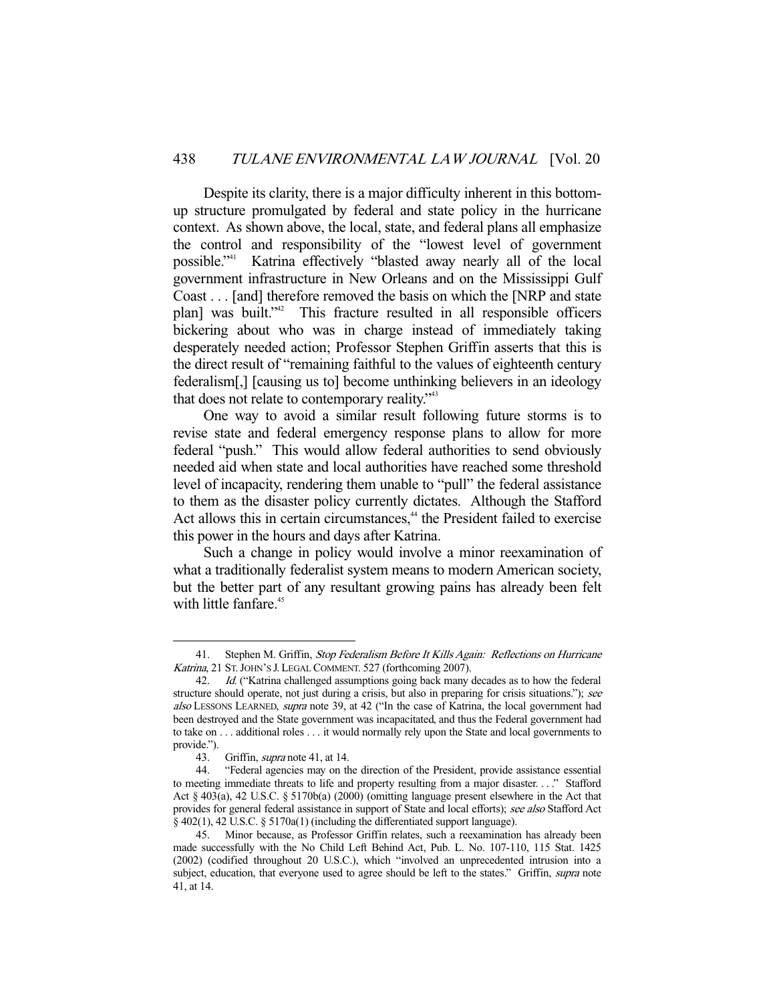Despite its clarity, there is a major difficulty inherent in this bottomup structure promulgated by federal and state policy in the hurricane context. As shown above, the local, state, and federal plans all emphasize the control and responsibility of the "lowest level of government possible."41 Katrina effectively "blasted away nearly all of the local government infrastructure in New Orleans and on the Mississippi Gulf Coast . . . [and] therefore removed the basis on which the [NRP and state plan] was built."<sup>42</sup> This fracture resulted in all responsible officers bickering about who was in charge instead of immediately taking desperately needed action; Professor Stephen Griffin asserts that this is the direct result of "remaining faithful to the values of eighteenth century federalism[,] [causing us to] become unthinking believers in an ideology that does not relate to contemporary reality."43

 One way to avoid a similar result following future storms is to revise state and federal emergency response plans to allow for more federal "push." This would allow federal authorities to send obviously needed aid when state and local authorities have reached some threshold level of incapacity, rendering them unable to "pull" the federal assistance to them as the disaster policy currently dictates. Although the Stafford Act allows this in certain circumstances,<sup>44</sup> the President failed to exercise this power in the hours and days after Katrina.

 Such a change in policy would involve a minor reexamination of what a traditionally federalist system means to modern American society, but the better part of any resultant growing pains has already been felt with little fanfare.<sup>45</sup>

<sup>41.</sup> Stephen M. Griffin, Stop Federalism Before It Kills Again: Reflections on Hurricane Katrina, 21 ST. JOHN'S J. LEGAL COMMENT. 527 (forthcoming 2007).

<sup>42.</sup> Id. ("Katrina challenged assumptions going back many decades as to how the federal structure should operate, not just during a crisis, but also in preparing for crisis situations."); see also LESSONS LEARNED, supra note 39, at 42 ("In the case of Katrina, the local government had been destroyed and the State government was incapacitated, and thus the Federal government had to take on . . . additional roles . . . it would normally rely upon the State and local governments to provide.").

<sup>43.</sup> Griffin, *supra* note 41, at 14.<br>44. "Federal agencies may on the

<sup>&</sup>quot;Federal agencies may on the direction of the President, provide assistance essential to meeting immediate threats to life and property resulting from a major disaster. . . ." Stafford Act § 403(a), 42 U.S.C. § 5170b(a) (2000) (omitting language present elsewhere in the Act that provides for general federal assistance in support of State and local efforts); see also Stafford Act § 402(1), 42 U.S.C. § 5170a(1) (including the differentiated support language).

 <sup>45.</sup> Minor because, as Professor Griffin relates, such a reexamination has already been made successfully with the No Child Left Behind Act, Pub. L. No. 107-110, 115 Stat. 1425 (2002) (codified throughout 20 U.S.C.), which "involved an unprecedented intrusion into a subject, education, that everyone used to agree should be left to the states." Griffin, supra note 41, at 14.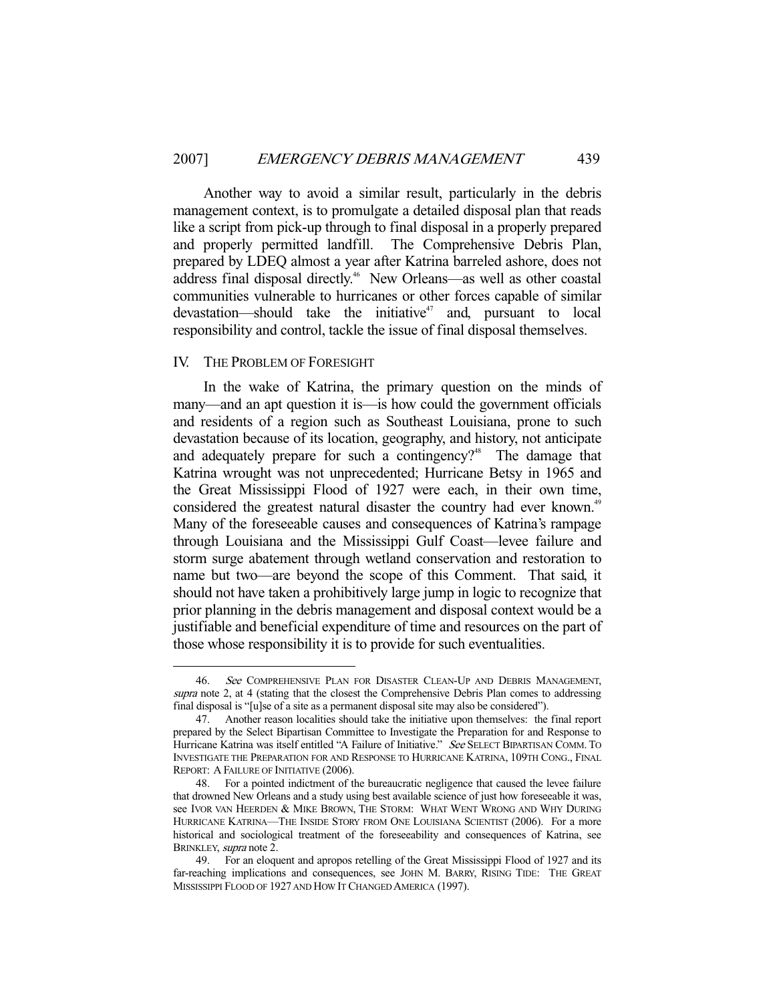Another way to avoid a similar result, particularly in the debris management context, is to promulgate a detailed disposal plan that reads like a script from pick-up through to final disposal in a properly prepared and properly permitted landfill. The Comprehensive Debris Plan, prepared by LDEQ almost a year after Katrina barreled ashore, does not address final disposal directly.<sup>46</sup> New Orleans—as well as other coastal communities vulnerable to hurricanes or other forces capable of similar devastation—should take the initiative<sup> $47$ </sup> and, pursuant to local responsibility and control, tackle the issue of final disposal themselves.

#### IV. THE PROBLEM OF FORESIGHT

-

 In the wake of Katrina, the primary question on the minds of many—and an apt question it is—is how could the government officials and residents of a region such as Southeast Louisiana, prone to such devastation because of its location, geography, and history, not anticipate and adequately prepare for such a contingency?<sup>48</sup> The damage that Katrina wrought was not unprecedented; Hurricane Betsy in 1965 and the Great Mississippi Flood of 1927 were each, in their own time, considered the greatest natural disaster the country had ever known.<sup>49</sup> Many of the foreseeable causes and consequences of Katrina's rampage through Louisiana and the Mississippi Gulf Coast—levee failure and storm surge abatement through wetland conservation and restoration to name but two—are beyond the scope of this Comment. That said, it should not have taken a prohibitively large jump in logic to recognize that prior planning in the debris management and disposal context would be a justifiable and beneficial expenditure of time and resources on the part of those whose responsibility it is to provide for such eventualities.

<sup>46.</sup> See COMPREHENSIVE PLAN FOR DISASTER CLEAN-UP AND DEBRIS MANAGEMENT, supra note 2, at 4 (stating that the closest the Comprehensive Debris Plan comes to addressing final disposal is "[u]se of a site as a permanent disposal site may also be considered").

 <sup>47.</sup> Another reason localities should take the initiative upon themselves: the final report prepared by the Select Bipartisan Committee to Investigate the Preparation for and Response to Hurricane Katrina was itself entitled "A Failure of Initiative." See SELECT BIPARTISAN COMM. TO INVESTIGATE THE PREPARATION FOR AND RESPONSE TO HURRICANE KATRINA, 109TH CONG., FINAL REPORT: A FAILURE OF INITIATIVE (2006).

 <sup>48.</sup> For a pointed indictment of the bureaucratic negligence that caused the levee failure that drowned New Orleans and a study using best available science of just how foreseeable it was, see IVOR VAN HEERDEN & MIKE BROWN, THE STORM: WHAT WENT WRONG AND WHY DURING HURRICANE KATRINA—THE INSIDE STORY FROM ONE LOUISIANA SCIENTIST (2006). For a more historical and sociological treatment of the foreseeability and consequences of Katrina, see BRINKLEY, supra note 2.

 <sup>49.</sup> For an eloquent and apropos retelling of the Great Mississippi Flood of 1927 and its far-reaching implications and consequences, see JOHN M. BARRY, RISING TIDE: THE GREAT MISSISSIPPI FLOOD OF 1927 AND HOW IT CHANGED AMERICA (1997).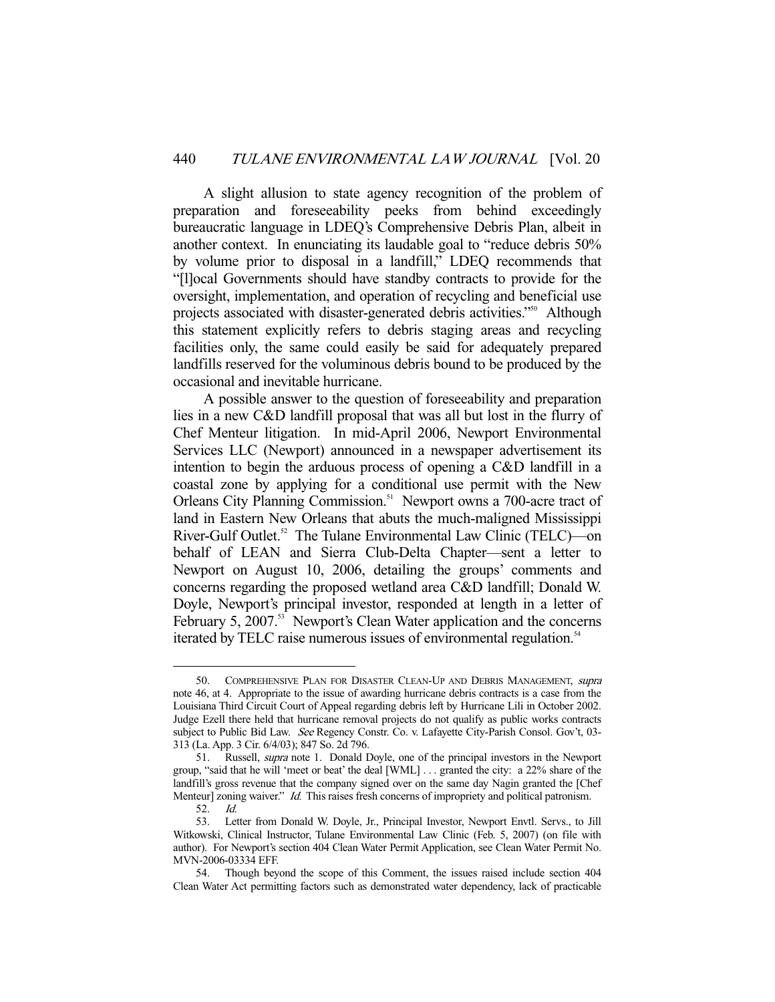A slight allusion to state agency recognition of the problem of preparation and foreseeability peeks from behind exceedingly bureaucratic language in LDEQ's Comprehensive Debris Plan, albeit in another context. In enunciating its laudable goal to "reduce debris 50% by volume prior to disposal in a landfill," LDEQ recommends that "[l]ocal Governments should have standby contracts to provide for the oversight, implementation, and operation of recycling and beneficial use projects associated with disaster-generated debris activities."<sup>50</sup> Although this statement explicitly refers to debris staging areas and recycling facilities only, the same could easily be said for adequately prepared landfills reserved for the voluminous debris bound to be produced by the occasional and inevitable hurricane.

 A possible answer to the question of foreseeability and preparation lies in a new C&D landfill proposal that was all but lost in the flurry of Chef Menteur litigation. In mid-April 2006, Newport Environmental Services LLC (Newport) announced in a newspaper advertisement its intention to begin the arduous process of opening a C&D landfill in a coastal zone by applying for a conditional use permit with the New Orleans City Planning Commission.<sup>51</sup> Newport owns a 700-acre tract of land in Eastern New Orleans that abuts the much-maligned Mississippi River-Gulf Outlet.<sup>52</sup> The Tulane Environmental Law Clinic (TELC)—on behalf of LEAN and Sierra Club-Delta Chapter—sent a letter to Newport on August 10, 2006, detailing the groups' comments and concerns regarding the proposed wetland area C&D landfill; Donald W. Doyle, Newport's principal investor, responded at length in a letter of February 5, 2007.<sup>53</sup> Newport's Clean Water application and the concerns iterated by TELC raise numerous issues of environmental regulation.<sup>54</sup>

<sup>50.</sup> COMPREHENSIVE PLAN FOR DISASTER CLEAN-UP AND DEBRIS MANAGEMENT, supra note 46, at 4. Appropriate to the issue of awarding hurricane debris contracts is a case from the Louisiana Third Circuit Court of Appeal regarding debris left by Hurricane Lili in October 2002. Judge Ezell there held that hurricane removal projects do not qualify as public works contracts subject to Public Bid Law. See Regency Constr. Co. v. Lafayette City-Parish Consol. Gov't, 03-313 (La. App. 3 Cir. 6/4/03); 847 So. 2d 796.

 <sup>51.</sup> Russell, supra note 1. Donald Doyle, one of the principal investors in the Newport group, "said that he will 'meet or beat' the deal [WML] . . . granted the city: a 22% share of the landfill's gross revenue that the company signed over on the same day Nagin granted the [Chef Menteur] zoning waiver." *Id.* This raises fresh concerns of impropriety and political patronism.

 <sup>52.</sup> Id.

 <sup>53.</sup> Letter from Donald W. Doyle, Jr., Principal Investor, Newport Envtl. Servs., to Jill Witkowski, Clinical Instructor, Tulane Environmental Law Clinic (Feb. 5, 2007) (on file with author). For Newport's section 404 Clean Water Permit Application, see Clean Water Permit No. MVN-2006-03334 EFF.

 <sup>54.</sup> Though beyond the scope of this Comment, the issues raised include section 404 Clean Water Act permitting factors such as demonstrated water dependency, lack of practicable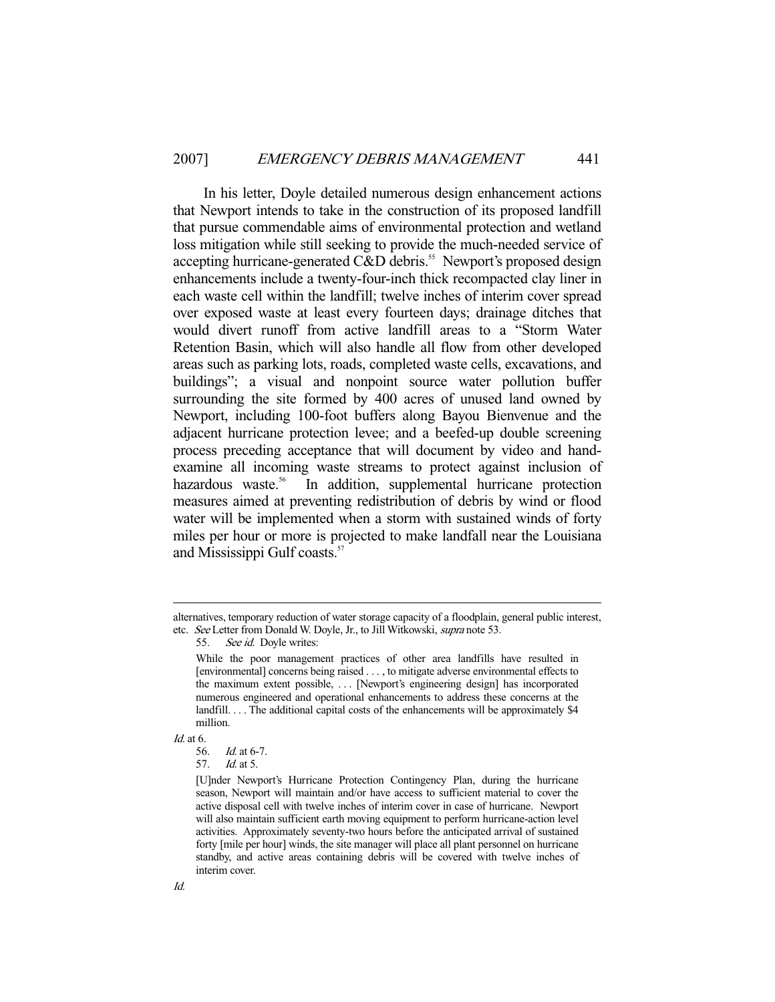In his letter, Doyle detailed numerous design enhancement actions that Newport intends to take in the construction of its proposed landfill that pursue commendable aims of environmental protection and wetland loss mitigation while still seeking to provide the much-needed service of accepting hurricane-generated C&D debris.<sup>55</sup> Newport's proposed design enhancements include a twenty-four-inch thick recompacted clay liner in each waste cell within the landfill; twelve inches of interim cover spread over exposed waste at least every fourteen days; drainage ditches that would divert runoff from active landfill areas to a "Storm Water Retention Basin, which will also handle all flow from other developed areas such as parking lots, roads, completed waste cells, excavations, and buildings"; a visual and nonpoint source water pollution buffer surrounding the site formed by 400 acres of unused land owned by Newport, including 100-foot buffers along Bayou Bienvenue and the adjacent hurricane protection levee; and a beefed-up double screening process preceding acceptance that will document by video and handexamine all incoming waste streams to protect against inclusion of hazardous waste.<sup>56</sup> In addition, supplemental hurricane protection measures aimed at preventing redistribution of debris by wind or flood water will be implemented when a storm with sustained winds of forty miles per hour or more is projected to make landfall near the Louisiana and Mississippi Gulf coasts.<sup>57</sup>

alternatives, temporary reduction of water storage capacity of a floodplain, general public interest, etc. See Letter from Donald W. Doyle, Jr., to Jill Witkowski, supra note 53.

 <sup>55.</sup> See id. Doyle writes:

While the poor management practices of other area landfills have resulted in [environmental] concerns being raised . . . , to mitigate adverse environmental effects to the maximum extent possible, . . . [Newport's engineering design] has incorporated numerous engineered and operational enhancements to address these concerns at the landfill. . . . The additional capital costs of the enhancements will be approximately \$4 million.

Id. at 6.

 <sup>56.</sup> Id. at 6-7.

 <sup>57.</sup> Id. at 5.

<sup>[</sup>U]nder Newport's Hurricane Protection Contingency Plan, during the hurricane season, Newport will maintain and/or have access to sufficient material to cover the active disposal cell with twelve inches of interim cover in case of hurricane. Newport will also maintain sufficient earth moving equipment to perform hurricane-action level activities. Approximately seventy-two hours before the anticipated arrival of sustained forty [mile per hour] winds, the site manager will place all plant personnel on hurricane standby, and active areas containing debris will be covered with twelve inches of interim cover.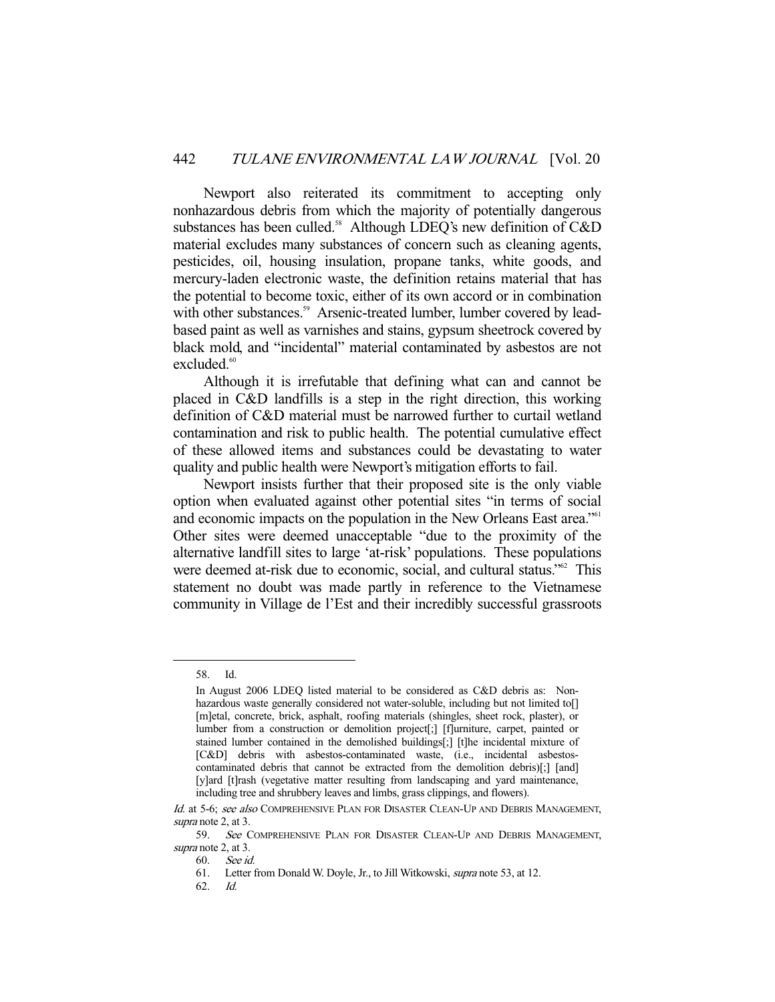Newport also reiterated its commitment to accepting only nonhazardous debris from which the majority of potentially dangerous substances has been culled.<sup>58</sup> Although LDEQ's new definition of C&D material excludes many substances of concern such as cleaning agents, pesticides, oil, housing insulation, propane tanks, white goods, and mercury-laden electronic waste, the definition retains material that has the potential to become toxic, either of its own accord or in combination with other substances.<sup>59</sup> Arsenic-treated lumber, lumber covered by leadbased paint as well as varnishes and stains, gypsum sheetrock covered by black mold, and "incidental" material contaminated by asbestos are not excluded.<sup>60</sup>

 Although it is irrefutable that defining what can and cannot be placed in C&D landfills is a step in the right direction, this working definition of C&D material must be narrowed further to curtail wetland contamination and risk to public health. The potential cumulative effect of these allowed items and substances could be devastating to water quality and public health were Newport's mitigation efforts to fail.

 Newport insists further that their proposed site is the only viable option when evaluated against other potential sites "in terms of social and economic impacts on the population in the New Orleans East area."<sup>61</sup> Other sites were deemed unacceptable "due to the proximity of the alternative landfill sites to large 'at-risk' populations. These populations were deemed at-risk due to economic, social, and cultural status."<sup>62</sup> This statement no doubt was made partly in reference to the Vietnamese community in Village de l'Est and their incredibly successful grassroots

 <sup>58.</sup> Id.

In August 2006 LDEQ listed material to be considered as C&D debris as: Nonhazardous waste generally considered not water-soluble, including but not limited to[] [m]etal, concrete, brick, asphalt, roofing materials (shingles, sheet rock, plaster), or lumber from a construction or demolition project[;] [f]urniture, carpet, painted or stained lumber contained in the demolished buildings[;] [t]he incidental mixture of [C&D] debris with asbestos-contaminated waste, (i.e., incidental asbestoscontaminated debris that cannot be extracted from the demolition debris)[;] [and] [y]ard [t]rash (vegetative matter resulting from landscaping and yard maintenance, including tree and shrubbery leaves and limbs, grass clippings, and flowers).

Id. at 5-6; see also COMPREHENSIVE PLAN FOR DISASTER CLEAN-UP AND DEBRIS MANAGEMENT, supra note 2, at 3.

<sup>59.</sup> See COMPREHENSIVE PLAN FOR DISASTER CLEAN-UP AND DEBRIS MANAGEMENT, supra note 2, at 3.

 <sup>60.</sup> See id.

 <sup>61.</sup> Letter from Donald W. Doyle, Jr., to Jill Witkowski, supra note 53, at 12.

 <sup>62.</sup> Id.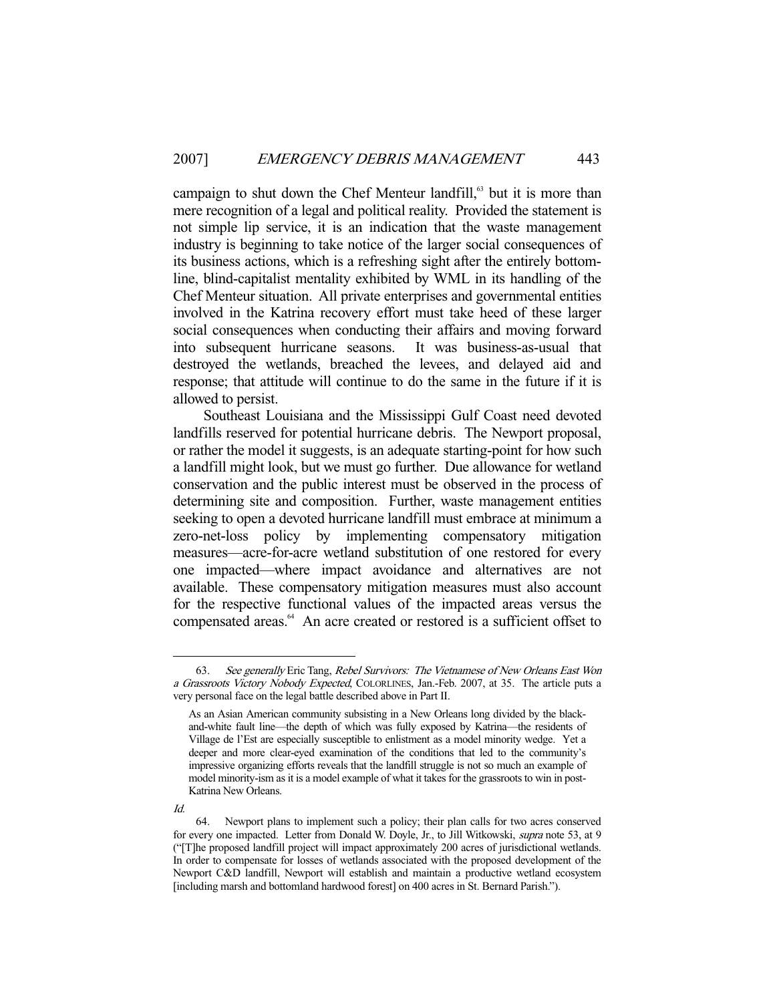campaign to shut down the Chef Menteur landfill,<sup>63</sup> but it is more than mere recognition of a legal and political reality. Provided the statement is not simple lip service, it is an indication that the waste management industry is beginning to take notice of the larger social consequences of its business actions, which is a refreshing sight after the entirely bottomline, blind-capitalist mentality exhibited by WML in its handling of the Chef Menteur situation. All private enterprises and governmental entities involved in the Katrina recovery effort must take heed of these larger social consequences when conducting their affairs and moving forward into subsequent hurricane seasons. It was business-as-usual that destroyed the wetlands, breached the levees, and delayed aid and response; that attitude will continue to do the same in the future if it is allowed to persist.

 Southeast Louisiana and the Mississippi Gulf Coast need devoted landfills reserved for potential hurricane debris. The Newport proposal, or rather the model it suggests, is an adequate starting-point for how such a landfill might look, but we must go further. Due allowance for wetland conservation and the public interest must be observed in the process of determining site and composition. Further, waste management entities seeking to open a devoted hurricane landfill must embrace at minimum a zero-net-loss policy by implementing compensatory mitigation measures—acre-for-acre wetland substitution of one restored for every one impacted—where impact avoidance and alternatives are not available. These compensatory mitigation measures must also account for the respective functional values of the impacted areas versus the compensated areas.<sup>64</sup> An acre created or restored is a sufficient offset to

Id.

 <sup>63.</sup> See generally Eric Tang, Rebel Survivors: The Vietnamese of New Orleans East Won a Grassroots Victory Nobody Expected, COLORLINES, Jan.-Feb. 2007, at 35. The article puts a very personal face on the legal battle described above in Part II.

As an Asian American community subsisting in a New Orleans long divided by the blackand-white fault line—the depth of which was fully exposed by Katrina—the residents of Village de l'Est are especially susceptible to enlistment as a model minority wedge. Yet a deeper and more clear-eyed examination of the conditions that led to the community's impressive organizing efforts reveals that the landfill struggle is not so much an example of model minority-ism as it is a model example of what it takes for the grassroots to win in post-Katrina New Orleans.

 <sup>64.</sup> Newport plans to implement such a policy; their plan calls for two acres conserved for every one impacted. Letter from Donald W. Doyle, Jr., to Jill Witkowski, supra note 53, at 9 ("[T]he proposed landfill project will impact approximately 200 acres of jurisdictional wetlands. In order to compensate for losses of wetlands associated with the proposed development of the Newport C&D landfill, Newport will establish and maintain a productive wetland ecosystem [including marsh and bottomland hardwood forest] on 400 acres in St. Bernard Parish.").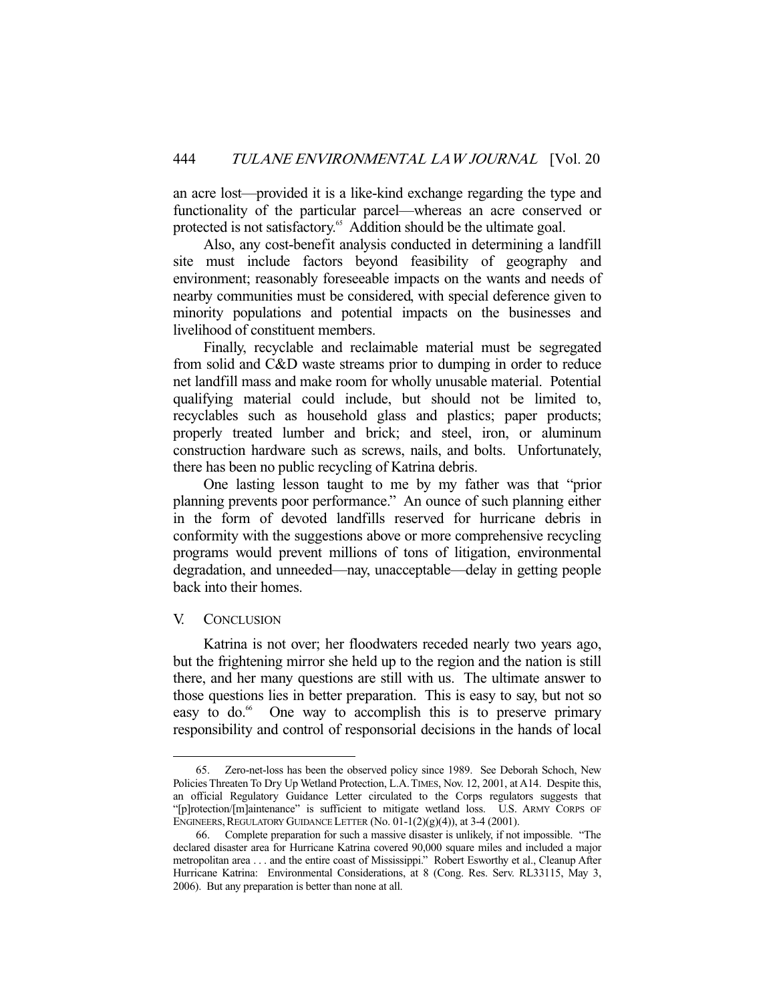an acre lost—provided it is a like-kind exchange regarding the type and functionality of the particular parcel—whereas an acre conserved or protected is not satisfactory.<sup>65</sup> Addition should be the ultimate goal.

 Also, any cost-benefit analysis conducted in determining a landfill site must include factors beyond feasibility of geography and environment; reasonably foreseeable impacts on the wants and needs of nearby communities must be considered, with special deference given to minority populations and potential impacts on the businesses and livelihood of constituent members.

 Finally, recyclable and reclaimable material must be segregated from solid and C&D waste streams prior to dumping in order to reduce net landfill mass and make room for wholly unusable material. Potential qualifying material could include, but should not be limited to, recyclables such as household glass and plastics; paper products; properly treated lumber and brick; and steel, iron, or aluminum construction hardware such as screws, nails, and bolts. Unfortunately, there has been no public recycling of Katrina debris.

 One lasting lesson taught to me by my father was that "prior planning prevents poor performance." An ounce of such planning either in the form of devoted landfills reserved for hurricane debris in conformity with the suggestions above or more comprehensive recycling programs would prevent millions of tons of litigation, environmental degradation, and unneeded—nay, unacceptable—delay in getting people back into their homes.

## V. CONCLUSION

-

 Katrina is not over; her floodwaters receded nearly two years ago, but the frightening mirror she held up to the region and the nation is still there, and her many questions are still with us. The ultimate answer to those questions lies in better preparation. This is easy to say, but not so easy to do. $66$  One way to accomplish this is to preserve primary responsibility and control of responsorial decisions in the hands of local

 <sup>65.</sup> Zero-net-loss has been the observed policy since 1989. See Deborah Schoch, New Policies Threaten To Dry Up Wetland Protection, L.A.TIMES, Nov. 12, 2001, at A14. Despite this, an official Regulatory Guidance Letter circulated to the Corps regulators suggests that "[p]rotection/[m]aintenance" is sufficient to mitigate wetland loss. U.S. ARMY CORPS OF ENGINEERS, REGULATORY GUIDANCE LETTER  $(No. 01-1(2)(g)(4))$ , at 3-4 (2001).

 <sup>66.</sup> Complete preparation for such a massive disaster is unlikely, if not impossible. "The declared disaster area for Hurricane Katrina covered 90,000 square miles and included a major metropolitan area . . . and the entire coast of Mississippi." Robert Esworthy et al., Cleanup After Hurricane Katrina: Environmental Considerations, at 8 (Cong. Res. Serv. RL33115, May 3, 2006). But any preparation is better than none at all.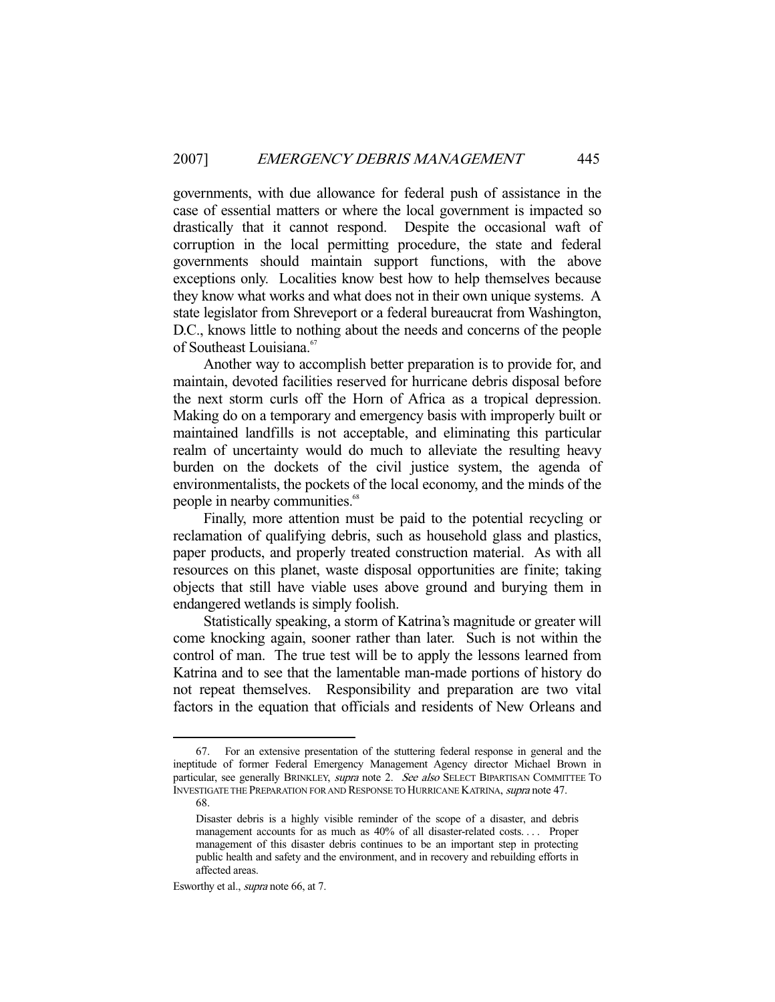governments, with due allowance for federal push of assistance in the case of essential matters or where the local government is impacted so drastically that it cannot respond. Despite the occasional waft of corruption in the local permitting procedure, the state and federal governments should maintain support functions, with the above exceptions only. Localities know best how to help themselves because they know what works and what does not in their own unique systems. A state legislator from Shreveport or a federal bureaucrat from Washington, D.C., knows little to nothing about the needs and concerns of the people of Southeast Louisiana.<sup>67</sup>

 Another way to accomplish better preparation is to provide for, and maintain, devoted facilities reserved for hurricane debris disposal before the next storm curls off the Horn of Africa as a tropical depression. Making do on a temporary and emergency basis with improperly built or maintained landfills is not acceptable, and eliminating this particular realm of uncertainty would do much to alleviate the resulting heavy burden on the dockets of the civil justice system, the agenda of environmentalists, the pockets of the local economy, and the minds of the people in nearby communities.<sup>68</sup>

 Finally, more attention must be paid to the potential recycling or reclamation of qualifying debris, such as household glass and plastics, paper products, and properly treated construction material. As with all resources on this planet, waste disposal opportunities are finite; taking objects that still have viable uses above ground and burying them in endangered wetlands is simply foolish.

 Statistically speaking, a storm of Katrina's magnitude or greater will come knocking again, sooner rather than later. Such is not within the control of man. The true test will be to apply the lessons learned from Katrina and to see that the lamentable man-made portions of history do not repeat themselves. Responsibility and preparation are two vital factors in the equation that officials and residents of New Orleans and

 <sup>67.</sup> For an extensive presentation of the stuttering federal response in general and the ineptitude of former Federal Emergency Management Agency director Michael Brown in particular, see generally BRINKLEY, supra note 2. See also SELECT BIPARTISAN COMMITTEE TO INVESTIGATE THE PREPARATION FOR AND RESPONSE TO HURRICANE KATRINA, *supra* note 47.

 <sup>68.</sup> 

Disaster debris is a highly visible reminder of the scope of a disaster, and debris management accounts for as much as 40% of all disaster-related costs. . . . Proper management of this disaster debris continues to be an important step in protecting public health and safety and the environment, and in recovery and rebuilding efforts in affected areas.

Esworthy et al., supra note 66, at 7.